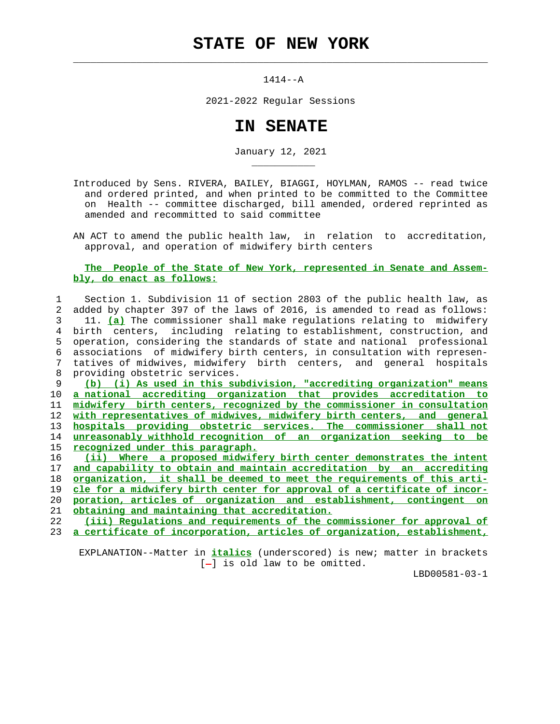## **STATE OF NEW YORK**

 $\mathcal{L}_\text{max} = \frac{1}{2} \sum_{i=1}^{n} \frac{1}{2} \sum_{i=1}^{n} \frac{1}{2} \sum_{i=1}^{n} \frac{1}{2} \sum_{i=1}^{n} \frac{1}{2} \sum_{i=1}^{n} \frac{1}{2} \sum_{i=1}^{n} \frac{1}{2} \sum_{i=1}^{n} \frac{1}{2} \sum_{i=1}^{n} \frac{1}{2} \sum_{i=1}^{n} \frac{1}{2} \sum_{i=1}^{n} \frac{1}{2} \sum_{i=1}^{n} \frac{1}{2} \sum_{i=1}^{n} \frac{1$ 

\_\_\_\_\_\_\_\_\_\_\_

1414--A

2021-2022 Regular Sessions

## **IN SENATE**

January 12, 2021

 Introduced by Sens. RIVERA, BAILEY, BIAGGI, HOYLMAN, RAMOS -- read twice and ordered printed, and when printed to be committed to the Committee on Health -- committee discharged, bill amended, ordered reprinted as amended and recommitted to said committee

 AN ACT to amend the public health law, in relation to accreditation, approval, and operation of midwifery birth centers

## **The People of the State of New York, represented in Senate and Assem bly, do enact as follows:**

 1 Section 1. Subdivision 11 of section 2803 of the public health law, as 2 added by chapter 397 of the laws of 2016, is amended to read as follows: 3 11. **(a)** The commissioner shall make regulations relating to midwifery 4 birth centers, including relating to establishment, construction, and 5 operation, considering the standards of state and national professional 6 associations of midwifery birth centers, in consultation with represen- 7 tatives of midwives, midwifery birth centers, and general hospitals 8 providing obstetric services.

**(b) (i) As used in this subdivision, "accrediting organization" means a national accrediting organization that provides accreditation to midwifery birth centers, recognized by the commissioner in consultation with representatives of midwives, midwifery birth centers, and general hospitals providing obstetric services. The commissioner shall not unreasonably withhold recognition of an organization seeking to be recognized under this paragraph.**

**(ii) Where a proposed midwifery birth center demonstrates the intent and capability to obtain and maintain accreditation by an accrediting organization, it shall be deemed to meet the requirements of this arti- cle for a midwifery birth center for approval of a certificate of incor- poration, articles of organization and establishment, contingent on obtaining and maintaining that accreditation.**

 22 **(iii) Regulations and requirements of the commissioner for approval of** 23 **a certificate of incorporation, articles of organization, establishment,**

 EXPLANATION--Matter in **italics** (underscored) is new; matter in brackets  $[-]$  is old law to be omitted.

LBD00581-03-1